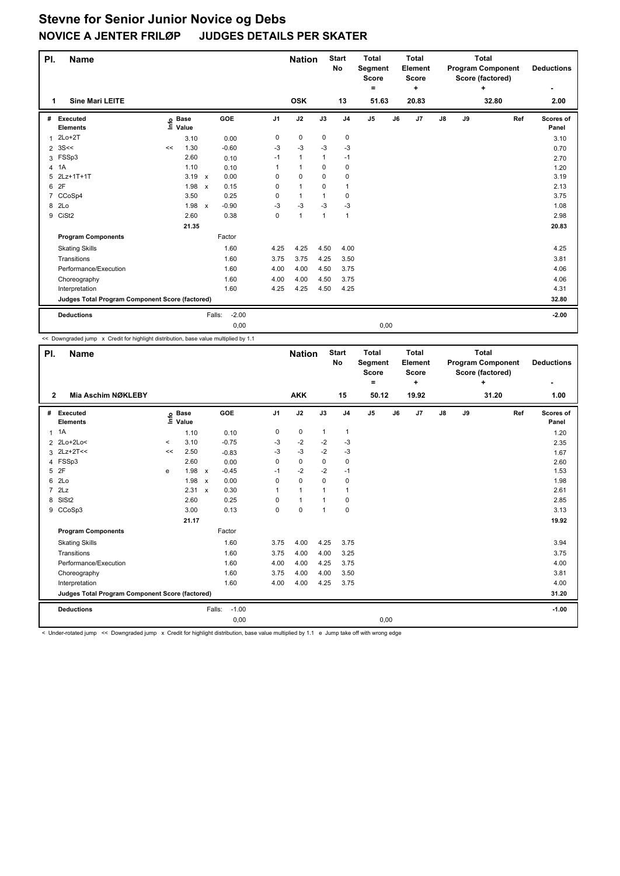| PI.            | Name                                            |    |                                  |                           |            |                | <b>Nation</b>  |              | <b>Start</b><br><b>No</b> | <b>Total</b><br>Segment<br><b>Score</b><br>۰ |    | <b>Total</b><br>Element<br><b>Score</b><br>÷ |               |    | <b>Total</b><br><b>Program Component</b><br>Score (factored)<br>÷ |     | <b>Deductions</b>  |
|----------------|-------------------------------------------------|----|----------------------------------|---------------------------|------------|----------------|----------------|--------------|---------------------------|----------------------------------------------|----|----------------------------------------------|---------------|----|-------------------------------------------------------------------|-----|--------------------|
| 1              | <b>Sine Mari LEITE</b>                          |    |                                  |                           |            |                | <b>OSK</b>     |              | 13                        | 51.63                                        |    | 20.83                                        |               |    | 32.80                                                             |     | 2.00               |
| #              | Executed<br><b>Elements</b>                     |    | <b>Base</b><br>e Base<br>⊑ Value |                           | <b>GOE</b> | J <sub>1</sub> | J2             | J3           | J <sub>4</sub>            | J <sub>5</sub>                               | J6 | J7                                           | $\mathsf{J}8$ | J9 |                                                                   | Ref | Scores of<br>Panel |
| 1              | $2Lo+2T$                                        |    | 3.10                             |                           | 0.00       | 0              | $\mathbf 0$    | $\mathbf 0$  | $\mathbf 0$               |                                              |    |                                              |               |    |                                                                   |     | 3.10               |
| $\overline{2}$ | 3S<<                                            | << | 1.30                             |                           | $-0.60$    | $-3$           | $-3$           | $-3$         | $-3$                      |                                              |    |                                              |               |    |                                                                   |     | 0.70               |
|                | 3 FSSp3                                         |    | 2.60                             |                           | 0.10       | $-1$           | $\mathbf{1}$   | $\mathbf{1}$ | $-1$                      |                                              |    |                                              |               |    |                                                                   |     | 2.70               |
| 4              | 1A                                              |    | 1.10                             |                           | 0.10       |                | $\overline{1}$ | $\Omega$     | $\mathbf 0$               |                                              |    |                                              |               |    |                                                                   |     | 1.20               |
| 5              | 2Lz+1T+1T                                       |    | 3.19                             | $\boldsymbol{\mathsf{x}}$ | 0.00       | 0              | $\mathbf 0$    | 0            | 0                         |                                              |    |                                              |               |    |                                                                   |     | 3.19               |
| 6              | 2F                                              |    | 1.98                             | $\boldsymbol{\mathsf{x}}$ | 0.15       | 0              | $\overline{1}$ | 0            | $\mathbf{1}$              |                                              |    |                                              |               |    |                                                                   |     | 2.13               |
|                | 7 CCoSp4                                        |    | 3.50                             |                           | 0.25       | 0              | $\mathbf{1}$   | 1            | 0                         |                                              |    |                                              |               |    |                                                                   |     | 3.75               |
| 8              | 2 <sub>LO</sub>                                 |    | 1.98                             | $\mathsf{x}$              | $-0.90$    | $-3$           | $-3$           | $-3$         | -3                        |                                              |    |                                              |               |    |                                                                   |     | 1.08               |
| 9              | CiSt <sub>2</sub>                               |    | 2.60                             |                           | 0.38       | 0              | $\mathbf{1}$   | $\mathbf{1}$ | $\mathbf{1}$              |                                              |    |                                              |               |    |                                                                   |     | 2.98               |
|                |                                                 |    | 21.35                            |                           |            |                |                |              |                           |                                              |    |                                              |               |    |                                                                   |     | 20.83              |
|                | <b>Program Components</b>                       |    |                                  |                           | Factor     |                |                |              |                           |                                              |    |                                              |               |    |                                                                   |     |                    |
|                | <b>Skating Skills</b>                           |    |                                  |                           | 1.60       | 4.25           | 4.25           | 4.50         | 4.00                      |                                              |    |                                              |               |    |                                                                   |     | 4.25               |
|                | Transitions                                     |    |                                  |                           | 1.60       | 3.75           | 3.75           | 4.25         | 3.50                      |                                              |    |                                              |               |    |                                                                   |     | 3.81               |
|                | Performance/Execution                           |    |                                  |                           | 1.60       | 4.00           | 4.00           | 4.50         | 3.75                      |                                              |    |                                              |               |    |                                                                   |     | 4.06               |
|                | Choreography                                    |    |                                  |                           | 1.60       | 4.00           | 4.00           | 4.50         | 3.75                      |                                              |    |                                              |               |    |                                                                   |     | 4.06               |
|                | Interpretation                                  |    |                                  |                           | 1.60       | 4.25           | 4.25           | 4.50         | 4.25                      |                                              |    |                                              |               |    |                                                                   |     | 4.31               |
|                | Judges Total Program Component Score (factored) |    |                                  |                           |            |                |                |              |                           |                                              |    |                                              |               |    |                                                                   |     | 32.80              |
|                | <b>Deductions</b>                               |    |                                  | Falls:                    | $-2.00$    |                |                |              |                           |                                              |    |                                              |               |    |                                                                   |     | $-2.00$            |
|                |                                                 |    |                                  |                           | 0,00       |                |                |              |                           | 0,00                                         |    |                                              |               |    |                                                                   |     |                    |

<< Downgraded jump x Credit for highlight distribution, base value multiplied by 1.1

| PI.            | <b>Name</b>                                     |       |                   |                           |         |                | <b>Nation</b>  |                | <b>Start</b><br><b>No</b> | <b>Total</b><br>Segment<br><b>Score</b><br>= |    | <b>Total</b><br>Element<br><b>Score</b><br>٠ |               |    | <b>Total</b><br><b>Program Component</b><br>Score (factored)<br>÷ |     | <b>Deductions</b>  |
|----------------|-------------------------------------------------|-------|-------------------|---------------------------|---------|----------------|----------------|----------------|---------------------------|----------------------------------------------|----|----------------------------------------------|---------------|----|-------------------------------------------------------------------|-----|--------------------|
| $\mathbf{2}$   | Mia Aschim NØKLEBY                              |       |                   |                           |         |                | <b>AKK</b>     |                | 15                        | 50.12                                        |    | 19.92                                        |               |    | 31.20                                                             |     | 1.00               |
| #              | Executed<br><b>Elements</b>                     |       | e Base<br>E Value |                           | GOE     | J <sub>1</sub> | J2             | J3             | J <sub>4</sub>            | J <sub>5</sub>                               | J6 | J7                                           | $\mathsf{J}8$ | J9 |                                                                   | Ref | Scores of<br>Panel |
|                | $1 \t1A$                                        |       | 1.10              |                           | 0.10    | 0              | 0              | $\mathbf{1}$   | $\mathbf{1}$              |                                              |    |                                              |               |    |                                                                   |     | 1.20               |
| $\overline{2}$ | 2Lo+2Lo<                                        | $\,<$ | 3.10              |                           | $-0.75$ | $-3$           | $-2$           | $-2$           | $-3$                      |                                              |    |                                              |               |    |                                                                   |     | 2.35               |
| 3              | $2Lz+2T<<$                                      | <<    | 2.50              |                           | $-0.83$ | $-3$           | $-3$           | $-2$           | $-3$                      |                                              |    |                                              |               |    |                                                                   |     | 1.67               |
|                | 4 FSSp3                                         |       | 2.60              |                           | 0.00    | 0              | $\mathbf 0$    | $\mathbf 0$    | $\mathbf 0$               |                                              |    |                                              |               |    |                                                                   |     | 2.60               |
| 5              | 2F                                              | e     | 1.98              | $\pmb{\times}$            | $-0.45$ | $-1$           | $-2$           | $-2$           | $-1$                      |                                              |    |                                              |               |    |                                                                   |     | 1.53               |
| 6              | 2 <sub>LO</sub>                                 |       | 1.98              | $\boldsymbol{\mathsf{x}}$ | 0.00    | 0              | $\mathbf 0$    | $\mathbf 0$    | $\mathbf 0$               |                                              |    |                                              |               |    |                                                                   |     | 1.98               |
| $\overline{7}$ | 2Lz                                             |       | 2.31              | $\mathsf{x}$              | 0.30    | 1              | $\overline{1}$ | -1             | $\mathbf 1$               |                                              |    |                                              |               |    |                                                                   |     | 2.61               |
| 8              | SISt <sub>2</sub>                               |       | 2.60              |                           | 0.25    | 0              | $\mathbf{1}$   | $\mathbf 1$    | 0                         |                                              |    |                                              |               |    |                                                                   |     | 2.85               |
|                | 9 CCoSp3                                        |       | 3.00              |                           | 0.13    | 0              | $\mathbf 0$    | $\overline{1}$ | $\mathbf 0$               |                                              |    |                                              |               |    |                                                                   |     | 3.13               |
|                |                                                 |       | 21.17             |                           |         |                |                |                |                           |                                              |    |                                              |               |    |                                                                   |     | 19.92              |
|                | <b>Program Components</b>                       |       |                   |                           | Factor  |                |                |                |                           |                                              |    |                                              |               |    |                                                                   |     |                    |
|                | <b>Skating Skills</b>                           |       |                   |                           | 1.60    | 3.75           | 4.00           | 4.25           | 3.75                      |                                              |    |                                              |               |    |                                                                   |     | 3.94               |
|                | Transitions                                     |       |                   |                           | 1.60    | 3.75           | 4.00           | 4.00           | 3.25                      |                                              |    |                                              |               |    |                                                                   |     | 3.75               |
|                | Performance/Execution                           |       |                   |                           | 1.60    | 4.00           | 4.00           | 4.25           | 3.75                      |                                              |    |                                              |               |    |                                                                   |     | 4.00               |
|                | Choreography                                    |       |                   |                           | 1.60    | 3.75           | 4.00           | 4.00           | 3.50                      |                                              |    |                                              |               |    |                                                                   |     | 3.81               |
|                | Interpretation                                  |       |                   |                           | 1.60    | 4.00           | 4.00           | 4.25           | 3.75                      |                                              |    |                                              |               |    |                                                                   |     | 4.00               |
|                | Judges Total Program Component Score (factored) |       |                   |                           |         |                |                |                |                           |                                              |    |                                              |               |    |                                                                   |     | 31.20              |
|                | <b>Deductions</b>                               |       |                   | Falls:                    | $-1.00$ |                |                |                |                           |                                              |    |                                              |               |    |                                                                   |     | $-1.00$            |
|                |                                                 |       |                   |                           | 0,00    |                |                |                |                           | 0,00                                         |    |                                              |               |    |                                                                   |     |                    |

< Under-rotated jump << Downgraded jump x Credit for highlight distribution, base value multiplied by 1.1 e Jump take off with wrong edge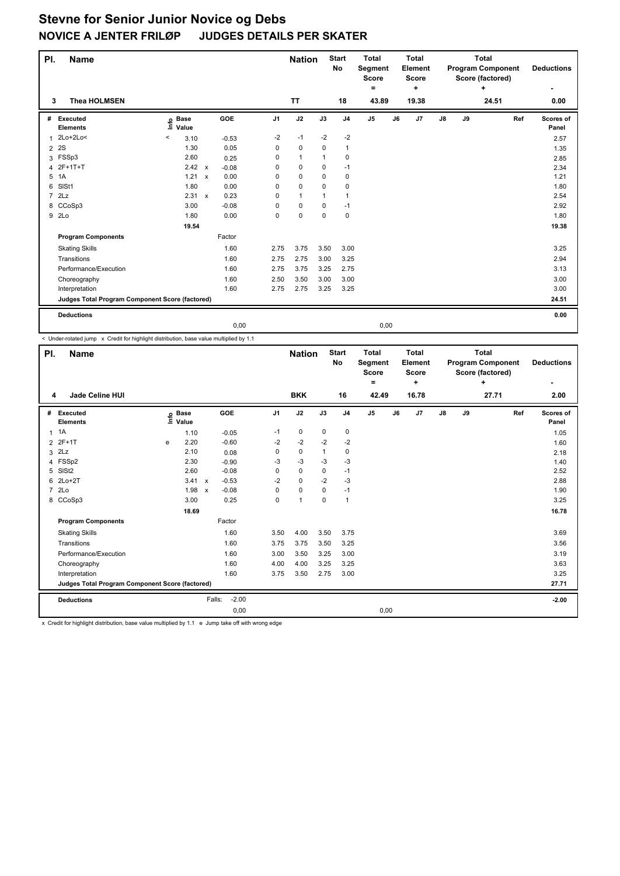| PI.            | <b>Name</b>                                     |                                                   |                         |                | <b>Nation</b> |             | <b>Start</b><br>No | <b>Total</b><br>Segment<br><b>Score</b><br>۰ |    | <b>Total</b><br>Element<br>Score<br>٠ |               |    | <b>Total</b><br><b>Program Component</b><br>Score (factored)<br>٠ |     | <b>Deductions</b><br>٠ |
|----------------|-------------------------------------------------|---------------------------------------------------|-------------------------|----------------|---------------|-------------|--------------------|----------------------------------------------|----|---------------------------------------|---------------|----|-------------------------------------------------------------------|-----|------------------------|
| 3              | <b>Thea HOLMSEN</b>                             |                                                   |                         |                | <b>TT</b>     |             | 18                 | 43.89                                        |    | 19.38                                 |               |    | 24.51                                                             |     | 0.00                   |
| #              | Executed<br><b>Elements</b>                     | <b>Base</b><br>$\mathsf{Int}^\mathsf{o}$<br>Value | <b>GOE</b>              | J <sub>1</sub> | J2            | J3          | J <sub>4</sub>     | J <sub>5</sub>                               | J6 | J7                                    | $\mathsf{J}8$ | J9 |                                                                   | Ref | Scores of<br>Panel     |
| 1              | $2Lo+2Lo<$                                      | $\,<\,$<br>3.10                                   | $-0.53$                 | $-2$           | $-1$          | $-2$        | $-2$               |                                              |    |                                       |               |    |                                                                   |     | 2.57                   |
| $\overline{2}$ | 2S                                              | 1.30                                              | 0.05                    | 0              | $\mathbf 0$   | $\mathbf 0$ | 1                  |                                              |    |                                       |               |    |                                                                   |     | 1.35                   |
| 3              | FSSp3                                           | 2.60                                              | 0.25                    | $\mathbf 0$    | $\mathbf{1}$  | 1           | $\mathbf 0$        |                                              |    |                                       |               |    |                                                                   |     | 2.85                   |
| 4              | $2F+1T+T$                                       | 2.42                                              | $\mathsf{x}$<br>$-0.08$ | 0              | 0             | 0           | $-1$               |                                              |    |                                       |               |    |                                                                   |     | 2.34                   |
| 5              | 1A                                              | 1.21                                              | 0.00<br>$\mathsf{x}$    | $\Omega$       | $\mathbf 0$   | 0           | 0                  |                                              |    |                                       |               |    |                                                                   |     | 1.21                   |
| 6              | SISt1                                           | 1.80                                              | 0.00                    | 0              | 0             | 0           | $\mathbf 0$        |                                              |    |                                       |               |    |                                                                   |     | 1.80                   |
| $\overline{7}$ | 2Lz                                             | 2.31                                              | 0.23<br>$\mathsf{x}$    | 0              | $\mathbf{1}$  | 1           | $\mathbf{1}$       |                                              |    |                                       |               |    |                                                                   |     | 2.54                   |
|                | 8 CCoSp3                                        | 3.00                                              | $-0.08$                 | $\Omega$       | 0             | 0           | $-1$               |                                              |    |                                       |               |    |                                                                   |     | 2.92                   |
|                | 9 2Lo                                           | 1.80                                              | 0.00                    | 0              | $\mathbf 0$   | $\mathbf 0$ | $\mathbf 0$        |                                              |    |                                       |               |    |                                                                   |     | 1.80                   |
|                |                                                 | 19.54                                             |                         |                |               |             |                    |                                              |    |                                       |               |    |                                                                   |     | 19.38                  |
|                | <b>Program Components</b>                       |                                                   | Factor                  |                |               |             |                    |                                              |    |                                       |               |    |                                                                   |     |                        |
|                | <b>Skating Skills</b>                           |                                                   | 1.60                    | 2.75           | 3.75          | 3.50        | 3.00               |                                              |    |                                       |               |    |                                                                   |     | 3.25                   |
|                | Transitions                                     |                                                   | 1.60                    | 2.75           | 2.75          | 3.00        | 3.25               |                                              |    |                                       |               |    |                                                                   |     | 2.94                   |
|                | Performance/Execution                           |                                                   | 1.60                    | 2.75           | 3.75          | 3.25        | 2.75               |                                              |    |                                       |               |    |                                                                   |     | 3.13                   |
|                | Choreography                                    |                                                   | 1.60                    | 2.50           | 3.50          | 3.00        | 3.00               |                                              |    |                                       |               |    |                                                                   |     | 3.00                   |
|                | Interpretation                                  |                                                   | 1.60                    | 2.75           | 2.75          | 3.25        | 3.25               |                                              |    |                                       |               |    |                                                                   |     | 3.00                   |
|                | Judges Total Program Component Score (factored) |                                                   |                         |                |               |             |                    |                                              |    |                                       |               |    |                                                                   |     | 24.51                  |
|                | <b>Deductions</b>                               |                                                   |                         |                |               |             |                    |                                              |    |                                       |               |    |                                                                   |     | 0.00                   |
|                |                                                 |                                                   |                         | 0,00           |               |             |                    | 0,00                                         |    |                                       |               |    |                                                                   |     |                        |

< Under-rotated jump x Credit for highlight distribution, base value multiplied by 1.1

| PI.            | <b>Name</b>                                     |   |                                  |              |                   |                | <b>Nation</b>  |             | <b>Start</b><br><b>No</b> | <b>Total</b><br>Segment<br><b>Score</b><br>۰ |    | <b>Total</b><br>Element<br><b>Score</b><br>÷ |    |    | <b>Total</b><br><b>Program Component</b><br>Score (factored)<br>÷ |     | <b>Deductions</b>  |
|----------------|-------------------------------------------------|---|----------------------------------|--------------|-------------------|----------------|----------------|-------------|---------------------------|----------------------------------------------|----|----------------------------------------------|----|----|-------------------------------------------------------------------|-----|--------------------|
| 4              | <b>Jade Celine HUI</b>                          |   |                                  |              |                   |                | <b>BKK</b>     |             | 16                        | 42.49                                        |    | 16.78                                        |    |    | 27.71                                                             |     | 2.00               |
| #              | Executed<br><b>Elements</b>                     |   | <b>Base</b><br>e Base<br>E Value |              | GOE               | J <sub>1</sub> | J2             | J3          | J <sub>4</sub>            | J <sub>5</sub>                               | J6 | J7                                           | J8 | J9 |                                                                   | Ref | Scores of<br>Panel |
| 1              | 1A                                              |   | 1.10                             |              | $-0.05$           | $-1$           | 0              | 0           | 0                         |                                              |    |                                              |    |    |                                                                   |     | 1.05               |
|                | 2 2F+1T                                         | e | 2.20                             |              | $-0.60$           | $-2$           | $-2$           | $-2$        | $-2$                      |                                              |    |                                              |    |    |                                                                   |     | 1.60               |
|                | $3$ $2Lz$                                       |   | 2.10                             |              | 0.08              | 0              | $\mathbf 0$    | 1           | $\mathbf 0$               |                                              |    |                                              |    |    |                                                                   |     | 2.18               |
|                | 4 FSSp2                                         |   | 2.30                             |              | $-0.90$           | $-3$           | $-3$           | $-3$        | $-3$                      |                                              |    |                                              |    |    |                                                                   |     | 1.40               |
|                | 5 SISt2                                         |   | 2.60                             |              | $-0.08$           | 0              | $\mathbf 0$    | $\mathbf 0$ | $-1$                      |                                              |    |                                              |    |    |                                                                   |     | 2.52               |
|                | 6 2Lo+2T                                        |   | 3.41                             | $\mathsf{x}$ | $-0.53$           | $-2$           | $\mathbf 0$    | $-2$        | $-3$                      |                                              |    |                                              |    |    |                                                                   |     | 2.88               |
| $\overline{7}$ | 2Lo                                             |   | 1.98                             | $\mathsf{x}$ | $-0.08$           | 0              | $\mathbf 0$    | 0           | $-1$                      |                                              |    |                                              |    |    |                                                                   |     | 1.90               |
|                | 8 CCoSp3                                        |   | 3.00                             |              | 0.25              | 0              | $\overline{1}$ | $\mathbf 0$ | $\overline{1}$            |                                              |    |                                              |    |    |                                                                   |     | 3.25               |
|                |                                                 |   | 18.69                            |              |                   |                |                |             |                           |                                              |    |                                              |    |    |                                                                   |     | 16.78              |
|                | <b>Program Components</b>                       |   |                                  |              | Factor            |                |                |             |                           |                                              |    |                                              |    |    |                                                                   |     |                    |
|                | <b>Skating Skills</b>                           |   |                                  |              | 1.60              | 3.50           | 4.00           | 3.50        | 3.75                      |                                              |    |                                              |    |    |                                                                   |     | 3.69               |
|                | Transitions                                     |   |                                  |              | 1.60              | 3.75           | 3.75           | 3.50        | 3.25                      |                                              |    |                                              |    |    |                                                                   |     | 3.56               |
|                | Performance/Execution                           |   |                                  |              | 1.60              | 3.00           | 3.50           | 3.25        | 3.00                      |                                              |    |                                              |    |    |                                                                   |     | 3.19               |
|                | Choreography                                    |   |                                  |              | 1.60              | 4.00           | 4.00           | 3.25        | 3.25                      |                                              |    |                                              |    |    |                                                                   |     | 3.63               |
|                | Interpretation                                  |   |                                  |              | 1.60              | 3.75           | 3.50           | 2.75        | 3.00                      |                                              |    |                                              |    |    |                                                                   |     | 3.25               |
|                | Judges Total Program Component Score (factored) |   |                                  |              |                   |                |                |             |                           |                                              |    |                                              |    |    |                                                                   |     | 27.71              |
|                | <b>Deductions</b>                               |   |                                  |              | $-2.00$<br>Falls: |                |                |             |                           |                                              |    |                                              |    |    |                                                                   |     | $-2.00$            |
|                |                                                 |   |                                  |              | 0,00              |                |                |             |                           | 0,00                                         |    |                                              |    |    |                                                                   |     |                    |

x Credit for highlight distribution, base value multiplied by 1.1 e Jump take off with wrong edge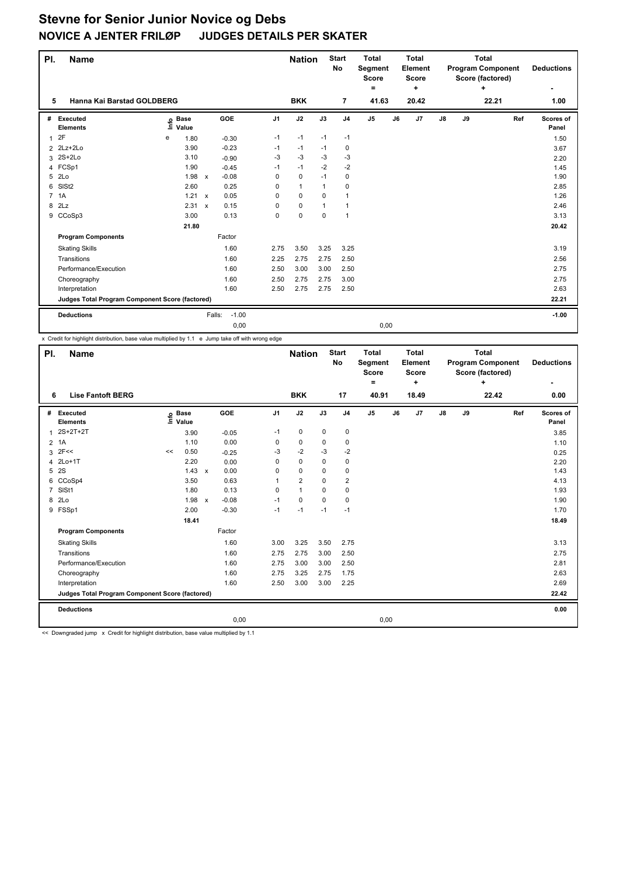| PI. | <b>Name</b>                                     |                              |              |         |                | <b>Nation</b> |              | <b>Start</b><br><b>No</b> | <b>Total</b><br>Segment<br><b>Score</b><br>۰ |    | <b>Total</b><br>Element<br><b>Score</b><br>÷ |               |    | <b>Total</b><br><b>Program Component</b><br>Score (factored)<br>÷ |     | <b>Deductions</b>  |
|-----|-------------------------------------------------|------------------------------|--------------|---------|----------------|---------------|--------------|---------------------------|----------------------------------------------|----|----------------------------------------------|---------------|----|-------------------------------------------------------------------|-----|--------------------|
| 5   | Hanna Kai Barstad GOLDBERG                      |                              |              |         |                | <b>BKK</b>    |              | $\overline{7}$            | 41.63                                        |    | 20.42                                        |               |    | 22.21                                                             |     | 1.00               |
| #   | Executed<br><b>Elements</b>                     | <b>Base</b><br>Life<br>Value |              | GOE     | J <sub>1</sub> | J2            | J3           | J <sub>4</sub>            | J <sub>5</sub>                               | J6 | J7                                           | $\mathsf{J}8$ | J9 |                                                                   | Ref | Scores of<br>Panel |
| 1   | 2F                                              | e<br>1.80                    |              | $-0.30$ | $-1$           | $-1$          | $-1$         | $-1$                      |                                              |    |                                              |               |    |                                                                   |     | 1.50               |
| 2   | 2Lz+2Lo                                         | 3.90                         |              | $-0.23$ | $-1$           | $-1$          | $-1$         | 0                         |                                              |    |                                              |               |    |                                                                   |     | 3.67               |
|     | 3 2S+2Lo                                        | 3.10                         |              | $-0.90$ | $-3$           | $-3$          | $-3$         | $-3$                      |                                              |    |                                              |               |    |                                                                   |     | 2.20               |
|     | 4 FCSp1                                         | 1.90                         |              | $-0.45$ | $-1$           | $-1$          | $-2$         | $-2$                      |                                              |    |                                              |               |    |                                                                   |     | 1.45               |
| 5   | 2 <sub>LO</sub>                                 | 1.98                         | $\mathsf{x}$ | $-0.08$ | 0              | 0             | $-1$         | 0                         |                                              |    |                                              |               |    |                                                                   |     | 1.90               |
| 6   | SISt <sub>2</sub>                               | 2.60                         |              | 0.25    | 0              | $\mathbf{1}$  | $\mathbf{1}$ | 0                         |                                              |    |                                              |               |    |                                                                   |     | 2.85               |
|     | 7 1A                                            | 1.21                         | $\mathbf{x}$ | 0.05    | 0              | $\Omega$      | $\Omega$     | $\mathbf{1}$              |                                              |    |                                              |               |    |                                                                   |     | 1.26               |
| 8   | 2Lz                                             | 2.31                         | $\mathsf{x}$ | 0.15    | 0              | $\mathbf 0$   | $\mathbf 1$  | $\mathbf{1}$              |                                              |    |                                              |               |    |                                                                   |     | 2.46               |
|     | 9 CCoSp3                                        | 3.00                         |              | 0.13    | 0              | 0             | $\mathbf 0$  | $\overline{1}$            |                                              |    |                                              |               |    |                                                                   |     | 3.13               |
|     |                                                 | 21.80                        |              |         |                |               |              |                           |                                              |    |                                              |               |    |                                                                   |     | 20.42              |
|     | <b>Program Components</b>                       |                              |              | Factor  |                |               |              |                           |                                              |    |                                              |               |    |                                                                   |     |                    |
|     | <b>Skating Skills</b>                           |                              |              | 1.60    | 2.75           | 3.50          | 3.25         | 3.25                      |                                              |    |                                              |               |    |                                                                   |     | 3.19               |
|     | Transitions                                     |                              |              | 1.60    | 2.25           | 2.75          | 2.75         | 2.50                      |                                              |    |                                              |               |    |                                                                   |     | 2.56               |
|     | Performance/Execution                           |                              |              | 1.60    | 2.50           | 3.00          | 3.00         | 2.50                      |                                              |    |                                              |               |    |                                                                   |     | 2.75               |
|     | Choreography                                    |                              |              | 1.60    | 2.50           | 2.75          | 2.75         | 3.00                      |                                              |    |                                              |               |    |                                                                   |     | 2.75               |
|     | Interpretation                                  |                              |              | 1.60    | 2.50           | 2.75          | 2.75         | 2.50                      |                                              |    |                                              |               |    |                                                                   |     | 2.63               |
|     | Judges Total Program Component Score (factored) |                              |              |         |                |               |              |                           |                                              |    |                                              |               |    |                                                                   |     | 22.21              |
|     | <b>Deductions</b>                               |                              | Falls:       | $-1.00$ |                |               |              |                           |                                              |    |                                              |               |    |                                                                   |     | $-1.00$            |
|     |                                                 |                              |              | 0,00    |                |               |              |                           | 0,00                                         |    |                                              |               |    |                                                                   |     |                    |

x Credit for highlight distribution, base value multiplied by 1.1 e Jump take off with wrong edge

| PI.            | <b>Name</b>                                     |      |                      |              |         |                | <b>Nation</b>  |             | <b>Start</b><br>No | <b>Total</b><br>Segment<br><b>Score</b><br>۰ |    | <b>Total</b><br>Element<br><b>Score</b><br>÷ |               |    | <b>Total</b><br><b>Program Component</b><br>Score (factored)<br>÷ |     | <b>Deductions</b>  |
|----------------|-------------------------------------------------|------|----------------------|--------------|---------|----------------|----------------|-------------|--------------------|----------------------------------------------|----|----------------------------------------------|---------------|----|-------------------------------------------------------------------|-----|--------------------|
| 6              | <b>Lise Fantoft BERG</b>                        |      |                      |              |         |                | <b>BKK</b>     |             | 17                 | 40.91                                        |    | 18.49                                        |               |    | 22.42                                                             |     | 0.00               |
| #              | Executed<br><b>Elements</b>                     | lnfo | <b>Base</b><br>Value |              | GOE     | J <sub>1</sub> | J2             | J3          | J <sub>4</sub>     | J <sub>5</sub>                               | J6 | J7                                           | $\mathsf{J}8$ | J9 |                                                                   | Ref | Scores of<br>Panel |
| 1              | $2S+2T+2T$                                      |      | 3.90                 |              | $-0.05$ | $-1$           | $\mathbf 0$    | $\mathbf 0$ | $\mathbf 0$        |                                              |    |                                              |               |    |                                                                   |     | 3.85               |
| $\overline{2}$ | 1A                                              |      | 1.10                 |              | 0.00    | 0              | 0              | 0           | 0                  |                                              |    |                                              |               |    |                                                                   |     | 1.10               |
| 3              | 2F<<                                            | <<   | 0.50                 |              | $-0.25$ | -3             | $-2$           | $-3$        | $-2$               |                                              |    |                                              |               |    |                                                                   |     | 0.25               |
| 4              | $2Lo+1T$                                        |      | 2.20                 |              | 0.00    | 0              | 0              | 0           | 0                  |                                              |    |                                              |               |    |                                                                   |     | 2.20               |
| 5              | 2S                                              |      | 1.43                 | $\mathsf{x}$ | 0.00    | 0              | $\mathbf 0$    | 0           | $\mathbf 0$        |                                              |    |                                              |               |    |                                                                   |     | 1.43               |
|                | 6 CCoSp4                                        |      | 3.50                 |              | 0.63    | 1              | $\overline{2}$ | $\Omega$    | $\overline{2}$     |                                              |    |                                              |               |    |                                                                   |     | 4.13               |
| $\overline{7}$ | SISt1                                           |      | 1.80                 |              | 0.13    | 0              | $\overline{1}$ | $\Omega$    | $\mathbf 0$        |                                              |    |                                              |               |    |                                                                   |     | 1.93               |
| 8              | 2Lo                                             |      | 1.98                 | $\mathsf{x}$ | $-0.08$ | $-1$           | $\mathbf 0$    | $\mathbf 0$ | $\mathbf 0$        |                                              |    |                                              |               |    |                                                                   |     | 1.90               |
|                | 9 FSSp1                                         |      | 2.00                 |              | $-0.30$ | $-1$           | $-1$           | $-1$        | $-1$               |                                              |    |                                              |               |    |                                                                   |     | 1.70               |
|                |                                                 |      | 18.41                |              |         |                |                |             |                    |                                              |    |                                              |               |    |                                                                   |     | 18.49              |
|                | <b>Program Components</b>                       |      |                      |              | Factor  |                |                |             |                    |                                              |    |                                              |               |    |                                                                   |     |                    |
|                | <b>Skating Skills</b>                           |      |                      |              | 1.60    | 3.00           | 3.25           | 3.50        | 2.75               |                                              |    |                                              |               |    |                                                                   |     | 3.13               |
|                | Transitions                                     |      |                      |              | 1.60    | 2.75           | 2.75           | 3.00        | 2.50               |                                              |    |                                              |               |    |                                                                   |     | 2.75               |
|                | Performance/Execution                           |      |                      |              | 1.60    | 2.75           | 3.00           | 3.00        | 2.50               |                                              |    |                                              |               |    |                                                                   |     | 2.81               |
|                | Choreography                                    |      |                      |              | 1.60    | 2.75           | 3.25           | 2.75        | 1.75               |                                              |    |                                              |               |    |                                                                   |     | 2.63               |
|                | Interpretation                                  |      |                      |              | 1.60    | 2.50           | 3.00           | 3.00        | 2.25               |                                              |    |                                              |               |    |                                                                   |     | 2.69               |
|                | Judges Total Program Component Score (factored) |      |                      |              |         |                |                |             |                    |                                              |    |                                              |               |    |                                                                   |     | 22.42              |
|                | <b>Deductions</b>                               |      |                      |              |         |                |                |             |                    |                                              |    |                                              |               |    |                                                                   |     | 0.00               |
|                |                                                 |      |                      |              | 0,00    |                |                |             |                    | 0,00                                         |    |                                              |               |    |                                                                   |     |                    |

<< Downgraded jump x Credit for highlight distribution, base value multiplied by 1.1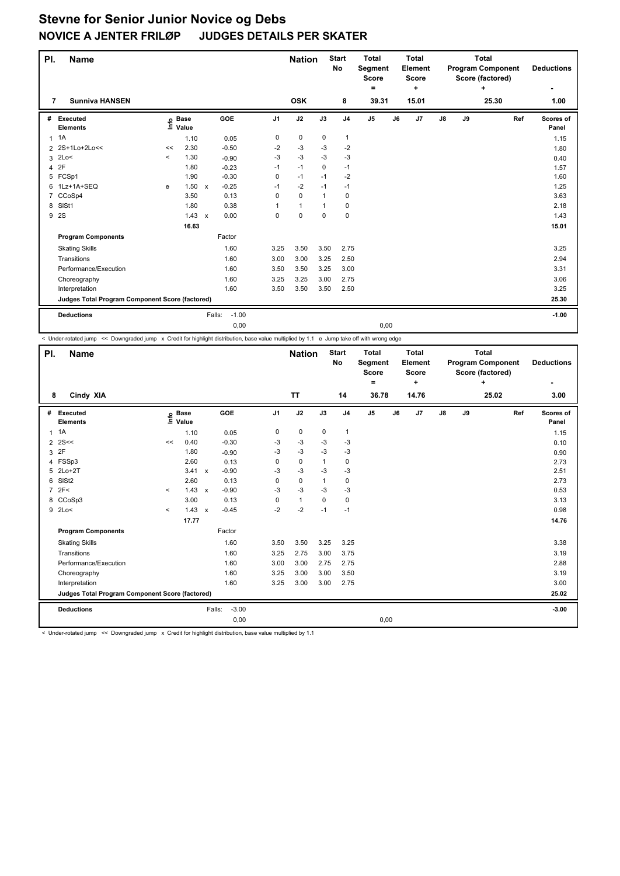| PI.            | <b>Name</b>                                     |         |                   |                                      |          | <b>Nation</b> |              | <b>Start</b><br><b>No</b> | <b>Total</b><br>Segment<br><b>Score</b><br>$=$ |    | <b>Total</b><br><b>Element</b><br><b>Score</b><br>٠ |               |    | <b>Total</b><br><b>Program Component</b><br>Score (factored)<br>÷ |     | <b>Deductions</b><br>۰ |
|----------------|-------------------------------------------------|---------|-------------------|--------------------------------------|----------|---------------|--------------|---------------------------|------------------------------------------------|----|-----------------------------------------------------|---------------|----|-------------------------------------------------------------------|-----|------------------------|
| 7              | <b>Sunniva HANSEN</b>                           |         |                   |                                      |          | <b>OSK</b>    |              | 8                         | 39.31                                          |    | 15.01                                               |               |    | 25.30                                                             |     | 1.00                   |
| #              | Executed<br><b>Elements</b>                     |         | e Base<br>⊑ Value | GOE                                  | J1       | J2            | J3           | J <sub>4</sub>            | J <sub>5</sub>                                 | J6 | J7                                                  | $\mathsf{J}8$ | J9 |                                                                   | Ref | Scores of<br>Panel     |
| 1              | 1A                                              |         | 1.10              | 0.05                                 | 0        | 0             | $\mathbf 0$  | 1                         |                                                |    |                                                     |               |    |                                                                   |     | 1.15                   |
| $\overline{2}$ | 2S+1Lo+2Lo<<                                    | <<      | 2.30              | $-0.50$                              | $-2$     | $-3$          | $-3$         | $-2$                      |                                                |    |                                                     |               |    |                                                                   |     | 1.80                   |
| 3              | 2Lo<                                            | $\prec$ | 1.30              | $-0.90$                              | $-3$     | -3            | $-3$         | $-3$                      |                                                |    |                                                     |               |    |                                                                   |     | 0.40                   |
| 4              | 2F                                              |         | 1.80              | $-0.23$                              | $-1$     | $-1$          | $\Omega$     | $-1$                      |                                                |    |                                                     |               |    |                                                                   |     | 1.57                   |
| 5              | FCSp1                                           |         | 1.90              | $-0.30$                              | 0        | $-1$          | $-1$         | $-2$                      |                                                |    |                                                     |               |    |                                                                   |     | 1.60                   |
| 6              | 1Lz+1A+SEQ                                      | e       | 1.50              | $-0.25$<br>$\boldsymbol{\mathsf{x}}$ | $-1$     | $-2$          | $-1$         | $-1$                      |                                                |    |                                                     |               |    |                                                                   |     | 1.25                   |
|                | CCoSp4                                          |         | 3.50              | 0.13                                 | $\Omega$ | $\mathbf 0$   | $\mathbf{1}$ | $\mathbf 0$               |                                                |    |                                                     |               |    |                                                                   |     | 3.63                   |
| 8              | SISt1                                           |         | 1.80              | 0.38                                 | 1        | $\mathbf{1}$  | 1            | 0                         |                                                |    |                                                     |               |    |                                                                   |     | 2.18                   |
| 9              | 2S                                              |         | 1.43              | 0.00<br>$\boldsymbol{\mathsf{x}}$    | 0        | 0             | $\mathbf 0$  | $\mathbf 0$               |                                                |    |                                                     |               |    |                                                                   |     | 1.43                   |
|                |                                                 |         | 16.63             |                                      |          |               |              |                           |                                                |    |                                                     |               |    |                                                                   |     | 15.01                  |
|                | <b>Program Components</b>                       |         |                   | Factor                               |          |               |              |                           |                                                |    |                                                     |               |    |                                                                   |     |                        |
|                | <b>Skating Skills</b>                           |         |                   | 1.60                                 | 3.25     | 3.50          | 3.50         | 2.75                      |                                                |    |                                                     |               |    |                                                                   |     | 3.25                   |
|                | Transitions                                     |         |                   | 1.60                                 | 3.00     | 3.00          | 3.25         | 2.50                      |                                                |    |                                                     |               |    |                                                                   |     | 2.94                   |
|                | Performance/Execution                           |         |                   | 1.60                                 | 3.50     | 3.50          | 3.25         | 3.00                      |                                                |    |                                                     |               |    |                                                                   |     | 3.31                   |
|                | Choreography                                    |         |                   | 1.60                                 | 3.25     | 3.25          | 3.00         | 2.75                      |                                                |    |                                                     |               |    |                                                                   |     | 3.06                   |
|                | Interpretation                                  |         |                   | 1.60                                 | 3.50     | 3.50          | 3.50         | 2.50                      |                                                |    |                                                     |               |    |                                                                   |     | 3.25                   |
|                | Judges Total Program Component Score (factored) |         |                   |                                      |          |               |              |                           |                                                |    |                                                     |               |    |                                                                   |     | 25.30                  |
|                | <b>Deductions</b>                               |         |                   | $-1.00$<br>Falls:                    |          |               |              |                           |                                                |    |                                                     |               |    |                                                                   |     | $-1.00$                |
|                |                                                 |         |                   | 0,00                                 |          |               |              |                           | 0,00                                           |    |                                                     |               |    |                                                                   |     |                        |

< Under-rotated jump << Downgraded jump x Credit for highlight distribution, base value multiplied by 1.1 e Jump take off with wrong edge

| PI.            | <b>Name</b>                                     |         |                                  |              |         |                | <b>Nation</b> |              | <b>Start</b><br>No | <b>Total</b><br><b>Segment</b><br>Score<br>۰ |    | <b>Total</b><br>Element<br><b>Score</b><br>÷ |    |    | <b>Total</b><br><b>Program Component</b><br>Score (factored)<br>÷ |     | <b>Deductions</b><br>٠ |
|----------------|-------------------------------------------------|---------|----------------------------------|--------------|---------|----------------|---------------|--------------|--------------------|----------------------------------------------|----|----------------------------------------------|----|----|-------------------------------------------------------------------|-----|------------------------|
| 8              | Cindy XIA                                       |         |                                  |              |         |                | <b>TT</b>     |              | 14                 | 36.78                                        |    | 14.76                                        |    |    | 25.02                                                             |     | 3.00                   |
| #              | Executed<br><b>Elements</b>                     |         | <b>Base</b><br>e Base<br>E Value |              | GOE     | J <sub>1</sub> | J2            | J3           | J <sub>4</sub>     | J <sub>5</sub>                               | J6 | J7                                           | J8 | J9 |                                                                   | Ref | Scores of<br>Panel     |
| 1              | 1A                                              |         | 1.10                             |              | 0.05    | 0              | $\mathbf 0$   | $\mathbf 0$  | $\mathbf{1}$       |                                              |    |                                              |    |    |                                                                   |     | 1.15                   |
| $\overline{2}$ | 2S<<                                            | <<      | 0.40                             |              | $-0.30$ | $-3$           | $-3$          | $-3$         | $-3$               |                                              |    |                                              |    |    |                                                                   |     | 0.10                   |
| 3              | 2F                                              |         | 1.80                             |              | $-0.90$ | $-3$           | $-3$          | $-3$         | $-3$               |                                              |    |                                              |    |    |                                                                   |     | 0.90                   |
|                | 4 FSSp3                                         |         | 2.60                             |              | 0.13    | 0              | $\mathbf 0$   | $\mathbf{1}$ | $\mathbf 0$        |                                              |    |                                              |    |    |                                                                   |     | 2.73                   |
|                | 5 2Lo+2T                                        |         | 3.41                             | $\mathsf{x}$ | $-0.90$ | $-3$           | $-3$          | $-3$         | $-3$               |                                              |    |                                              |    |    |                                                                   |     | 2.51                   |
|                | 6 SISt2                                         |         | 2.60                             |              | 0.13    | 0              | $\mathbf 0$   | 1            | 0                  |                                              |    |                                              |    |    |                                                                   |     | 2.73                   |
| $\overline{7}$ | 2F<                                             | $\prec$ | 1.43                             | $\mathsf{x}$ | $-0.90$ | $-3$           | $-3$          | $-3$         | $-3$               |                                              |    |                                              |    |    |                                                                   |     | 0.53                   |
|                | 8 CCoSp3                                        |         | 3.00                             |              | 0.13    | 0              | $\mathbf{1}$  | $\Omega$     | $\mathbf 0$        |                                              |    |                                              |    |    |                                                                   |     | 3.13                   |
|                | 9 2Lo<                                          | $\prec$ | 1.43                             | $\mathsf{x}$ | $-0.45$ | $-2$           | $-2$          | $-1$         | $-1$               |                                              |    |                                              |    |    |                                                                   |     | 0.98                   |
|                |                                                 |         | 17.77                            |              |         |                |               |              |                    |                                              |    |                                              |    |    |                                                                   |     | 14.76                  |
|                | <b>Program Components</b>                       |         |                                  |              | Factor  |                |               |              |                    |                                              |    |                                              |    |    |                                                                   |     |                        |
|                | <b>Skating Skills</b>                           |         |                                  |              | 1.60    | 3.50           | 3.50          | 3.25         | 3.25               |                                              |    |                                              |    |    |                                                                   |     | 3.38                   |
|                | Transitions                                     |         |                                  |              | 1.60    | 3.25           | 2.75          | 3.00         | 3.75               |                                              |    |                                              |    |    |                                                                   |     | 3.19                   |
|                | Performance/Execution                           |         |                                  |              | 1.60    | 3.00           | 3.00          | 2.75         | 2.75               |                                              |    |                                              |    |    |                                                                   |     | 2.88                   |
|                | Choreography                                    |         |                                  |              | 1.60    | 3.25           | 3.00          | 3.00         | 3.50               |                                              |    |                                              |    |    |                                                                   |     | 3.19                   |
|                | Interpretation                                  |         |                                  |              | 1.60    | 3.25           | 3.00          | 3.00         | 2.75               |                                              |    |                                              |    |    |                                                                   |     | 3.00                   |
|                | Judges Total Program Component Score (factored) |         |                                  |              |         |                |               |              |                    |                                              |    |                                              |    |    |                                                                   |     | 25.02                  |
|                | <b>Deductions</b>                               |         |                                  | Falls:       | $-3.00$ |                |               |              |                    |                                              |    |                                              |    |    |                                                                   |     | $-3.00$                |
|                |                                                 |         |                                  |              | 0,00    |                |               |              |                    | 0,00                                         |    |                                              |    |    |                                                                   |     |                        |

< Under-rotated jump << Downgraded jump x Credit for highlight distribution, base value multiplied by 1.1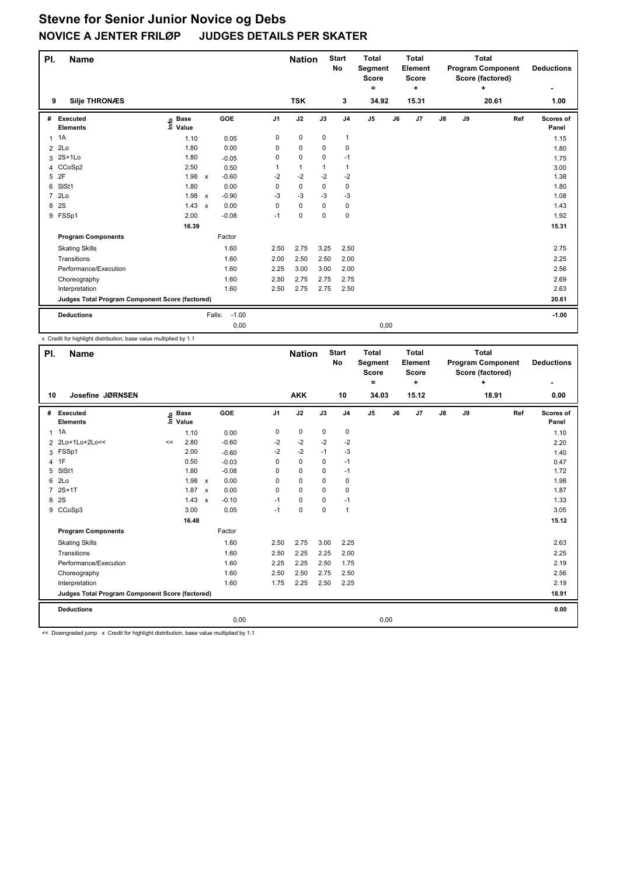| PI.            | <b>Name</b>                                     |                   |                           |         |                | <b>Nation</b> |          | <b>Start</b><br>No | <b>Total</b><br><b>Segment</b><br><b>Score</b> |    | <b>Total</b><br><b>Element</b><br><b>Score</b> |               |    | <b>Total</b><br><b>Program Component</b><br>Score (factored) |     | <b>Deductions</b>  |
|----------------|-------------------------------------------------|-------------------|---------------------------|---------|----------------|---------------|----------|--------------------|------------------------------------------------|----|------------------------------------------------|---------------|----|--------------------------------------------------------------|-----|--------------------|
|                |                                                 |                   |                           |         |                |               |          |                    | ۰                                              |    | ٠                                              |               |    | ÷                                                            |     | ۰                  |
| 9              | <b>Silje THRONÆS</b>                            |                   |                           |         |                | <b>TSK</b>    |          | 3                  | 34.92                                          |    | 15.31                                          |               |    | 20.61                                                        |     | 1.00               |
| #              | <b>Executed</b><br><b>Elements</b>              | e Base<br>⊑ Value |                           | GOE     | J <sub>1</sub> | J2            | J3       | J <sub>4</sub>     | J <sub>5</sub>                                 | J6 | J <sub>7</sub>                                 | $\mathsf{J}8$ | J9 |                                                              | Ref | Scores of<br>Panel |
| $\mathbf{1}$   | 1A                                              | 1.10              |                           | 0.05    | 0              | 0             | 0        | $\mathbf{1}$       |                                                |    |                                                |               |    |                                                              |     | 1.15               |
| $\overline{2}$ | 2Lo                                             | 1.80              |                           | 0.00    | 0              | 0             | 0        | $\mathbf 0$        |                                                |    |                                                |               |    |                                                              |     | 1.80               |
| 3              | $2S+1Lo$                                        | 1.80              |                           | $-0.05$ | 0              | $\mathbf 0$   | 0        | $-1$               |                                                |    |                                                |               |    |                                                              |     | 1.75               |
| 4              | CCoSp2                                          | 2.50              |                           | 0.50    | 1              | $\mathbf{1}$  | 1        | 1                  |                                                |    |                                                |               |    |                                                              |     | 3.00               |
| 5              | 2F                                              | 1.98              | $\pmb{\chi}$              | $-0.60$ | -2             | $-2$          | $-2$     | $-2$               |                                                |    |                                                |               |    |                                                              |     | 1.38               |
| 6              | SIS <sub>t1</sub>                               | 1.80              |                           | 0.00    | 0              | $\mathbf 0$   | 0        | 0                  |                                                |    |                                                |               |    |                                                              |     | 1.80               |
| $\overline{7}$ | 2Lo                                             | 1.98              | $\boldsymbol{\mathsf{x}}$ | $-0.90$ | -3             | -3            | $-3$     | $-3$               |                                                |    |                                                |               |    |                                                              |     | 1.08               |
| 8              | 2S                                              | 1.43              | $\boldsymbol{\mathsf{x}}$ | 0.00    | 0              | 0             | 0        | $\mathbf 0$        |                                                |    |                                                |               |    |                                                              |     | 1.43               |
|                | 9 FSSp1                                         | 2.00              |                           | $-0.08$ | $-1$           | $\mathbf 0$   | $\Omega$ | 0                  |                                                |    |                                                |               |    |                                                              |     | 1.92               |
|                |                                                 | 16.39             |                           |         |                |               |          |                    |                                                |    |                                                |               |    |                                                              |     | 15.31              |
|                | <b>Program Components</b>                       |                   |                           | Factor  |                |               |          |                    |                                                |    |                                                |               |    |                                                              |     |                    |
|                | <b>Skating Skills</b>                           |                   |                           | 1.60    | 2.50           | 2.75          | 3.25     | 2.50               |                                                |    |                                                |               |    |                                                              |     | 2.75               |
|                | Transitions                                     |                   |                           | 1.60    | 2.00           | 2.50          | 2.50     | 2.00               |                                                |    |                                                |               |    |                                                              |     | 2.25               |
|                | Performance/Execution                           |                   |                           | 1.60    | 2.25           | 3.00          | 3.00     | 2.00               |                                                |    |                                                |               |    |                                                              |     | 2.56               |
|                | Choreography                                    |                   |                           | 1.60    | 2.50           | 2.75          | 2.75     | 2.75               |                                                |    |                                                |               |    |                                                              |     | 2.69               |
|                | Interpretation                                  |                   |                           | 1.60    | 2.50           | 2.75          | 2.75     | 2.50               |                                                |    |                                                |               |    |                                                              |     | 2.63               |
|                | Judges Total Program Component Score (factored) |                   |                           |         |                |               |          |                    |                                                |    |                                                |               |    |                                                              |     | 20.61              |
|                | <b>Deductions</b>                               |                   | Falls:                    | $-1.00$ |                |               |          |                    |                                                |    |                                                |               |    |                                                              |     | $-1.00$            |
|                |                                                 |                   |                           | 0,00    |                |               |          |                    | 0,00                                           |    |                                                |               |    |                                                              |     |                    |

x Credit for highlight distribution, base value multiplied by 1.1

| PI.            | <b>Name</b>                                     |    |                      |              |            |                | <b>Nation</b> |             | <b>Start</b><br>No | <b>Total</b><br>Segment<br><b>Score</b><br>۰ |    | Total<br>Element<br><b>Score</b><br>÷ |               |    | <b>Total</b><br><b>Program Component</b><br>Score (factored)<br>÷ |     | <b>Deductions</b><br>٠ |
|----------------|-------------------------------------------------|----|----------------------|--------------|------------|----------------|---------------|-------------|--------------------|----------------------------------------------|----|---------------------------------------|---------------|----|-------------------------------------------------------------------|-----|------------------------|
| 10             | Josefine JØRNSEN                                |    |                      |              |            |                | <b>AKK</b>    |             | 10                 | 34.03                                        |    | 15.12                                 |               |    | 18.91                                                             |     | 0.00                   |
| #              | Executed<br><b>Elements</b>                     | ١m | <b>Base</b><br>Value |              | <b>GOE</b> | J <sub>1</sub> | J2            | J3          | J <sub>4</sub>     | J <sub>5</sub>                               | J6 | J <sub>7</sub>                        | $\mathsf{J}8$ | J9 |                                                                   | Ref | Scores of<br>Panel     |
| $\mathbf{1}$   | 1A                                              |    | 1.10                 |              | 0.00       | 0              | $\mathbf 0$   | $\mathbf 0$ | $\mathbf 0$        |                                              |    |                                       |               |    |                                                                   |     | 1.10                   |
| $\overline{2}$ | 2Lo+1Lo+2Lo<<                                   | << | 2.80                 |              | $-0.60$    | -2             | -2            | $-2$        | $-2$               |                                              |    |                                       |               |    |                                                                   |     | 2.20                   |
| 3              | FSSp1                                           |    | 2.00                 |              | $-0.60$    | $-2$           | $-2$          | $-1$        | -3                 |                                              |    |                                       |               |    |                                                                   |     | 1.40                   |
| 4              | 1F                                              |    | 0.50                 |              | $-0.03$    | 0              | $\mathbf 0$   | 0           | $-1$               |                                              |    |                                       |               |    |                                                                   |     | 0.47                   |
| 5              | SISt1                                           |    | 1.80                 |              | $-0.08$    | 0              | $\mathbf 0$   | 0           | $-1$               |                                              |    |                                       |               |    |                                                                   |     | 1.72                   |
| 6              | 2Lo                                             |    | 1.98                 | $\mathsf{x}$ | 0.00       | 0              | $\mathbf 0$   | 0           | $\mathbf 0$        |                                              |    |                                       |               |    |                                                                   |     | 1.98                   |
| $\overline{7}$ | $2S+1T$                                         |    | 1.87                 | $\mathsf{x}$ | 0.00       | $\Omega$       | $\Omega$      | $\Omega$    | 0                  |                                              |    |                                       |               |    |                                                                   |     | 1.87                   |
| 8              | 2S                                              |    | 1.43                 | $\mathbf{x}$ | $-0.10$    | $-1$           | $\Omega$      | 0           | $-1$               |                                              |    |                                       |               |    |                                                                   |     | 1.33                   |
| 9              | CCoSp3                                          |    | 3.00                 |              | 0.05       | $-1$           | 0             | 0           | $\mathbf{1}$       |                                              |    |                                       |               |    |                                                                   |     | 3.05                   |
|                |                                                 |    | 16.48                |              |            |                |               |             |                    |                                              |    |                                       |               |    |                                                                   |     | 15.12                  |
|                | <b>Program Components</b>                       |    |                      |              | Factor     |                |               |             |                    |                                              |    |                                       |               |    |                                                                   |     |                        |
|                | <b>Skating Skills</b>                           |    |                      |              | 1.60       | 2.50           | 2.75          | 3.00        | 2.25               |                                              |    |                                       |               |    |                                                                   |     | 2.63                   |
|                | Transitions                                     |    |                      |              | 1.60       | 2.50           | 2.25          | 2.25        | 2.00               |                                              |    |                                       |               |    |                                                                   |     | 2.25                   |
|                | Performance/Execution                           |    |                      |              | 1.60       | 2.25           | 2.25          | 2.50        | 1.75               |                                              |    |                                       |               |    |                                                                   |     | 2.19                   |
|                | Choreography                                    |    |                      |              | 1.60       | 2.50           | 2.50          | 2.75        | 2.50               |                                              |    |                                       |               |    |                                                                   |     | 2.56                   |
|                | Interpretation                                  |    |                      |              | 1.60       | 1.75           | 2.25          | 2.50        | 2.25               |                                              |    |                                       |               |    |                                                                   |     | 2.19                   |
|                | Judges Total Program Component Score (factored) |    |                      |              |            |                |               |             |                    |                                              |    |                                       |               |    |                                                                   |     | 18.91                  |
|                | <b>Deductions</b>                               |    |                      |              |            |                |               |             |                    |                                              |    |                                       |               |    |                                                                   |     | 0.00                   |
|                |                                                 |    |                      |              | 0,00       |                |               |             |                    | 0,00                                         |    |                                       |               |    |                                                                   |     |                        |

<< Downgraded jump x Credit for highlight distribution, base value multiplied by 1.1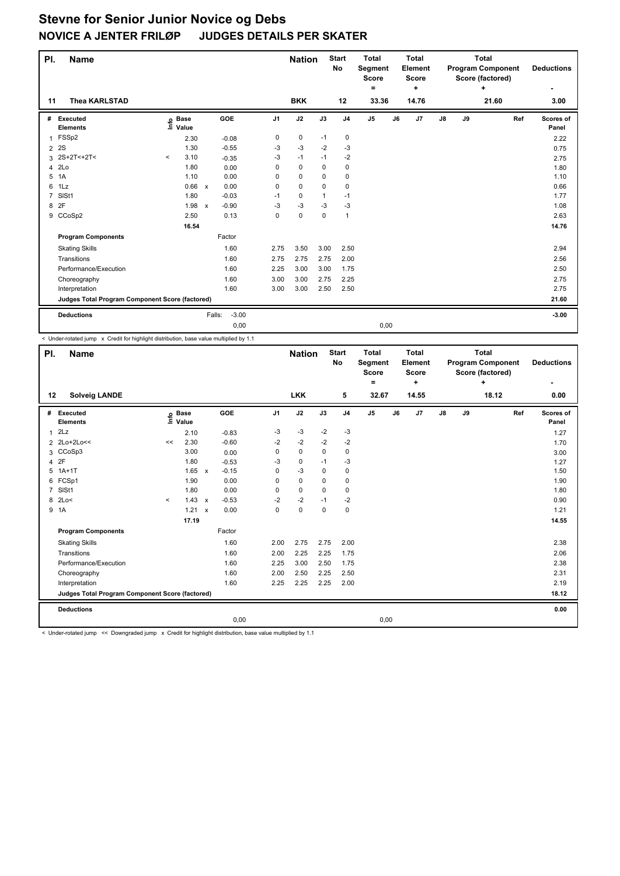| PI.            | Name                                            |          |                      |                           |            |                | <b>Nation</b> |              | <b>Start</b><br><b>No</b> | <b>Total</b><br>Segment<br><b>Score</b> |    | <b>Total</b><br>Element<br><b>Score</b> |               |    | <b>Total</b><br><b>Program Component</b><br>Score (factored) |     | <b>Deductions</b>  |
|----------------|-------------------------------------------------|----------|----------------------|---------------------------|------------|----------------|---------------|--------------|---------------------------|-----------------------------------------|----|-----------------------------------------|---------------|----|--------------------------------------------------------------|-----|--------------------|
| 11             | <b>Thea KARLSTAD</b>                            |          |                      |                           |            |                | <b>BKK</b>    |              | 12                        | =<br>33.36                              |    | ٠<br>14.76                              |               |    | ÷<br>21.60                                                   |     | ٠<br>3.00          |
|                |                                                 |          |                      |                           |            |                |               |              |                           |                                         |    |                                         |               |    |                                                              |     |                    |
| #              | Executed<br><b>Elements</b>                     | lnfo     | <b>Base</b><br>Value |                           | <b>GOE</b> | J <sub>1</sub> | J2            | J3           | J <sub>4</sub>            | J <sub>5</sub>                          | J6 | J7                                      | $\mathsf{J}8$ | J9 |                                                              | Ref | Scores of<br>Panel |
| $\mathbf{1}$   | FSSp2                                           |          | 2.30                 |                           | $-0.08$    | 0              | $\mathbf 0$   | $-1$         | 0                         |                                         |    |                                         |               |    |                                                              |     | 2.22               |
| $\overline{2}$ | 2S                                              |          | 1.30                 |                           | $-0.55$    | -3             | -3            | $-2$         | -3                        |                                         |    |                                         |               |    |                                                              |     | 0.75               |
| 3              | 2S+2T<+2T<                                      | $\hat{}$ | 3.10                 |                           | $-0.35$    | -3             | $-1$          | $-1$         | $-2$                      |                                         |    |                                         |               |    |                                                              |     | 2.75               |
| 4              | 2Lo                                             |          | 1.80                 |                           | 0.00       | 0              | $\mathbf 0$   | $\Omega$     | $\mathbf 0$               |                                         |    |                                         |               |    |                                                              |     | 1.80               |
| 5              | 1A                                              |          | 1.10                 |                           | 0.00       | 0              | $\mathbf 0$   | 0            | $\pmb{0}$                 |                                         |    |                                         |               |    |                                                              |     | 1.10               |
| 6              | 1Lz                                             |          | 0.66                 | $\mathsf{x}$              | 0.00       | 0              | $\mathbf 0$   | $\Omega$     | $\mathbf 0$               |                                         |    |                                         |               |    |                                                              |     | 0.66               |
| $\overline{7}$ | SISt1                                           |          | 1.80                 |                           | $-0.03$    | $-1$           | 0             | $\mathbf{1}$ | $-1$                      |                                         |    |                                         |               |    |                                                              |     | 1.77               |
| 8              | 2F                                              |          | 1.98                 | $\boldsymbol{\mathsf{x}}$ | $-0.90$    | $-3$           | $-3$          | $-3$         | -3                        |                                         |    |                                         |               |    |                                                              |     | 1.08               |
|                | 9 CCoSp2                                        |          | 2.50                 |                           | 0.13       | 0              | $\mathbf 0$   | $\mathbf 0$  | 1                         |                                         |    |                                         |               |    |                                                              |     | 2.63               |
|                |                                                 |          | 16.54                |                           |            |                |               |              |                           |                                         |    |                                         |               |    |                                                              |     | 14.76              |
|                | <b>Program Components</b>                       |          |                      |                           | Factor     |                |               |              |                           |                                         |    |                                         |               |    |                                                              |     |                    |
|                | <b>Skating Skills</b>                           |          |                      |                           | 1.60       | 2.75           | 3.50          | 3.00         | 2.50                      |                                         |    |                                         |               |    |                                                              |     | 2.94               |
|                | Transitions                                     |          |                      |                           | 1.60       | 2.75           | 2.75          | 2.75         | 2.00                      |                                         |    |                                         |               |    |                                                              |     | 2.56               |
|                | Performance/Execution                           |          |                      |                           | 1.60       | 2.25           | 3.00          | 3.00         | 1.75                      |                                         |    |                                         |               |    |                                                              |     | 2.50               |
|                | Choreography                                    |          |                      |                           | 1.60       | 3.00           | 3.00          | 2.75         | 2.25                      |                                         |    |                                         |               |    |                                                              |     | 2.75               |
|                | Interpretation                                  |          |                      |                           | 1.60       | 3.00           | 3.00          | 2.50         | 2.50                      |                                         |    |                                         |               |    |                                                              |     | 2.75               |
|                | Judges Total Program Component Score (factored) |          |                      |                           |            |                |               |              |                           |                                         |    |                                         |               |    |                                                              |     | 21.60              |
|                | <b>Deductions</b>                               |          |                      | Falls:                    | $-3.00$    |                |               |              |                           |                                         |    |                                         |               |    |                                                              |     | $-3.00$            |
|                |                                                 |          |                      |                           | 0,00       |                |               |              |                           | 0,00                                    |    |                                         |               |    |                                                              |     |                    |

< Under-rotated jump x Credit for highlight distribution, base value multiplied by 1.1

| PI.            | <b>Name</b>                                     |         |                      |              |            |                | <b>Nation</b> |             | <b>Start</b><br>No | <b>Total</b><br>Segment<br><b>Score</b><br>Ξ. |    | <b>Total</b><br>Element<br><b>Score</b><br>÷ |               |    | <b>Total</b><br><b>Program Component</b><br>Score (factored)<br>÷ |     | <b>Deductions</b>  |
|----------------|-------------------------------------------------|---------|----------------------|--------------|------------|----------------|---------------|-------------|--------------------|-----------------------------------------------|----|----------------------------------------------|---------------|----|-------------------------------------------------------------------|-----|--------------------|
| 12             | <b>Solveig LANDE</b>                            |         |                      |              |            |                | <b>LKK</b>    |             | 5                  | 32.67                                         |    | 14.55                                        |               |    | 18.12                                                             |     | 0.00               |
| #              | Executed<br><b>Elements</b>                     | ١m      | <b>Base</b><br>Value |              | <b>GOE</b> | J <sub>1</sub> | J2            | J3          | J <sub>4</sub>     | J5                                            | J6 | J7                                           | $\mathsf{J}8$ | J9 |                                                                   | Ref | Scores of<br>Panel |
| 1              | 2Lz                                             |         | 2.10                 |              | $-0.83$    | $-3$           | $-3$          | $-2$        | $-3$               |                                               |    |                                              |               |    |                                                                   |     | 1.27               |
|                | 2 2Lo+2Lo<<                                     | <<      | 2.30                 |              | $-0.60$    | $-2$           | $-2$          | $-2$        | $-2$               |                                               |    |                                              |               |    |                                                                   |     | 1.70               |
|                | 3 CCoSp3                                        |         | 3.00                 |              | 0.00       | 0              | $\mathbf 0$   | $\mathbf 0$ | 0                  |                                               |    |                                              |               |    |                                                                   |     | 3.00               |
| 4              | 2F                                              |         | 1.80                 |              | $-0.53$    | -3             | 0             | $-1$        | -3                 |                                               |    |                                              |               |    |                                                                   |     | 1.27               |
| 5              | $1A+1T$                                         |         | 1.65                 | $\mathsf{x}$ | $-0.15$    | 0              | $-3$          | $\mathbf 0$ | $\mathbf 0$        |                                               |    |                                              |               |    |                                                                   |     | 1.50               |
| 6              | FCSp1                                           |         | 1.90                 |              | 0.00       | 0              | $\mathbf 0$   | $\mathbf 0$ | $\mathbf 0$        |                                               |    |                                              |               |    |                                                                   |     | 1.90               |
| $\overline{7}$ | SISt1                                           |         | 1.80                 |              | 0.00       | 0              | $\mathbf 0$   | $\mathbf 0$ | $\mathbf 0$        |                                               |    |                                              |               |    |                                                                   |     | 1.80               |
| 8              | 2Lo<                                            | $\prec$ | 1.43                 | $\mathsf{x}$ | $-0.53$    | $-2$           | $-2$          | $-1$        | $-2$               |                                               |    |                                              |               |    |                                                                   |     | 0.90               |
|                | 9 1A                                            |         | 1.21                 | $\mathsf{x}$ | 0.00       | 0              | $\pmb{0}$     | $\mathbf 0$ | $\mathbf 0$        |                                               |    |                                              |               |    |                                                                   |     | 1.21               |
|                |                                                 |         | 17.19                |              |            |                |               |             |                    |                                               |    |                                              |               |    |                                                                   |     | 14.55              |
|                | <b>Program Components</b>                       |         |                      |              | Factor     |                |               |             |                    |                                               |    |                                              |               |    |                                                                   |     |                    |
|                | <b>Skating Skills</b>                           |         |                      |              | 1.60       | 2.00           | 2.75          | 2.75        | 2.00               |                                               |    |                                              |               |    |                                                                   |     | 2.38               |
|                | Transitions                                     |         |                      |              | 1.60       | 2.00           | 2.25          | 2.25        | 1.75               |                                               |    |                                              |               |    |                                                                   |     | 2.06               |
|                | Performance/Execution                           |         |                      |              | 1.60       | 2.25           | 3.00          | 2.50        | 1.75               |                                               |    |                                              |               |    |                                                                   |     | 2.38               |
|                | Choreography                                    |         |                      |              | 1.60       | 2.00           | 2.50          | 2.25        | 2.50               |                                               |    |                                              |               |    |                                                                   |     | 2.31               |
|                | Interpretation                                  |         |                      |              | 1.60       | 2.25           | 2.25          | 2.25        | 2.00               |                                               |    |                                              |               |    |                                                                   |     | 2.19               |
|                | Judges Total Program Component Score (factored) |         |                      |              |            |                |               |             |                    |                                               |    |                                              |               |    |                                                                   |     | 18.12              |
|                | <b>Deductions</b>                               |         |                      |              |            |                |               |             |                    |                                               |    |                                              |               |    |                                                                   |     | 0.00               |
|                |                                                 |         |                      |              | 0,00       |                |               |             |                    | 0,00                                          |    |                                              |               |    |                                                                   |     |                    |

< Under-rotated jump << Downgraded jump x Credit for highlight distribution, base value multiplied by 1.1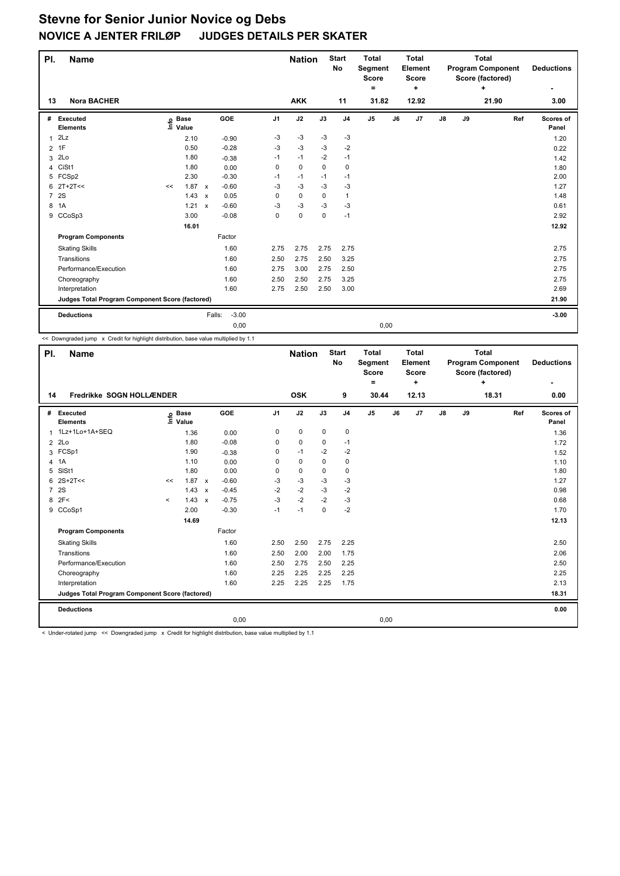| PI. | <b>Name</b>                                     |    |                   |                                      |                | <b>Nation</b> |             | <b>Start</b><br>No | <b>Total</b><br>Segment<br><b>Score</b> |    | <b>Total</b><br><b>Element</b><br>Score |               | <b>Total</b><br><b>Program Component</b><br>Score (factored) |       |     | <b>Deductions</b>  |
|-----|-------------------------------------------------|----|-------------------|--------------------------------------|----------------|---------------|-------------|--------------------|-----------------------------------------|----|-----------------------------------------|---------------|--------------------------------------------------------------|-------|-----|--------------------|
|     |                                                 |    |                   |                                      |                |               |             |                    | $\equiv$                                |    | ÷                                       |               |                                                              | ÷     |     | ٠                  |
| 13  | <b>Nora BACHER</b>                              |    |                   |                                      |                | <b>AKK</b>    |             | 11                 | 31.82                                   |    | 12.92                                   |               |                                                              | 21.90 |     | 3.00               |
| #   | <b>Executed</b><br><b>Elements</b>              |    | e Base<br>⊑ Value | GOE                                  | J <sub>1</sub> | J2            | J3          | J <sub>4</sub>     | J <sub>5</sub>                          | J6 | J7                                      | $\mathsf{J}8$ | J9                                                           |       | Ref | Scores of<br>Panel |
| 1   | 2Lz                                             |    | 2.10              | $-0.90$                              | -3             | $-3$          | $-3$        | $-3$               |                                         |    |                                         |               |                                                              |       |     | 1.20               |
|     | 2 1F                                            |    | 0.50              | $-0.28$                              | $-3$           | $-3$          | $-3$        | $-2$               |                                         |    |                                         |               |                                                              |       |     | 0.22               |
| 3   | 2Lo                                             |    | 1.80              | $-0.38$                              | $-1$           | $-1$          | $-2$        | $-1$               |                                         |    |                                         |               |                                                              |       |     | 1.42               |
| 4   | CiSt1                                           |    | 1.80              | 0.00                                 | 0              | $\mathbf 0$   | $\Omega$    | $\mathbf 0$        |                                         |    |                                         |               |                                                              |       |     | 1.80               |
| 5   | FCSp2                                           |    | 2.30              | $-0.30$                              | $-1$           | $-1$          | $-1$        | $-1$               |                                         |    |                                         |               |                                                              |       |     | 2.00               |
| 6   | $2T+2T<<$                                       | << | 1.87              | $-0.60$<br>$\mathsf{x}$              | $-3$           | $-3$          | $-3$        | $-3$               |                                         |    |                                         |               |                                                              |       |     | 1.27               |
|     | 7 2S                                            |    | 1.43              | 0.05<br>$\boldsymbol{\mathsf{x}}$    | 0              | $\mathbf 0$   | $\Omega$    | $\mathbf{1}$       |                                         |    |                                         |               |                                                              |       |     | 1.48               |
| 8   | 1A                                              |    | 1.21              | $-0.60$<br>$\boldsymbol{\mathsf{x}}$ | $-3$           | -3            | $-3$        | $-3$               |                                         |    |                                         |               |                                                              |       |     | 0.61               |
| 9   | CCoSp3                                          |    | 3.00              | $-0.08$                              | 0              | $\mathbf 0$   | $\mathbf 0$ | $-1$               |                                         |    |                                         |               |                                                              |       |     | 2.92               |
|     |                                                 |    | 16.01             |                                      |                |               |             |                    |                                         |    |                                         |               |                                                              |       |     | 12.92              |
|     | <b>Program Components</b>                       |    |                   | Factor                               |                |               |             |                    |                                         |    |                                         |               |                                                              |       |     |                    |
|     | <b>Skating Skills</b>                           |    |                   | 1.60                                 | 2.75           | 2.75          | 2.75        | 2.75               |                                         |    |                                         |               |                                                              |       |     | 2.75               |
|     | Transitions                                     |    |                   | 1.60                                 | 2.50           | 2.75          | 2.50        | 3.25               |                                         |    |                                         |               |                                                              |       |     | 2.75               |
|     | Performance/Execution                           |    |                   | 1.60                                 | 2.75           | 3.00          | 2.75        | 2.50               |                                         |    |                                         |               |                                                              |       |     | 2.75               |
|     | Choreography                                    |    |                   | 1.60                                 | 2.50           | 2.50          | 2.75        | 3.25               |                                         |    |                                         |               |                                                              |       |     | 2.75               |
|     | Interpretation                                  |    |                   | 1.60                                 | 2.75           | 2.50          | 2.50        | 3.00               |                                         |    |                                         |               |                                                              |       |     | 2.69               |
|     | Judges Total Program Component Score (factored) |    |                   |                                      |                |               |             |                    |                                         |    |                                         |               |                                                              |       |     | 21.90              |
|     | <b>Deductions</b>                               |    |                   | Falls:                               | $-3.00$        |               |             |                    |                                         |    |                                         |               |                                                              |       |     | $-3.00$            |
|     |                                                 |    |                   |                                      | 0,00           |               |             |                    | 0,00                                    |    |                                         |               |                                                              |       |     |                    |

<< Downgraded jump x Credit for highlight distribution, base value multiplied by 1.1

| PI.            | Name                                            |         |                              |              |                    |                     | <b>Nation</b>     |                 | <b>Start</b><br>No            | <b>Total</b><br>Segment<br><b>Score</b><br>۰ |       | <b>Total</b><br>Element<br><b>Score</b><br>÷ |               |    | <b>Total</b><br><b>Program Component</b><br>Score (factored)<br>÷ |     | <b>Deductions</b>          |
|----------------|-------------------------------------------------|---------|------------------------------|--------------|--------------------|---------------------|-------------------|-----------------|-------------------------------|----------------------------------------------|-------|----------------------------------------------|---------------|----|-------------------------------------------------------------------|-----|----------------------------|
| 14             | Fredrikke SOGN HOLLÆNDER                        |         | <b>OSK</b>                   |              | 9                  | 30.44               |                   | 12.13           |                               |                                              | 18.31 |                                              | 0.00          |    |                                                                   |     |                            |
| #<br>1         | Executed<br><b>Elements</b><br>1Lz+1Lo+1A+SEQ   | ١m      | <b>Base</b><br>Value<br>1.36 |              | <b>GOE</b><br>0.00 | J <sub>1</sub><br>0 | J2<br>$\mathbf 0$ | J3<br>$\pmb{0}$ | J <sub>4</sub><br>$\mathbf 0$ | J <sub>5</sub>                               | J6    | J7                                           | $\mathsf{J}8$ | J9 |                                                                   | Ref | Scores of<br>Panel<br>1.36 |
| $\overline{2}$ | 2Lo                                             |         | 1.80                         |              | $-0.08$            | 0                   | $\mathbf 0$       | 0               | -1                            |                                              |       |                                              |               |    |                                                                   |     | 1.72                       |
|                | 3 FCSp1                                         |         | 1.90                         |              | $-0.38$            | 0                   | $-1$              | $-2$            | $-2$                          |                                              |       |                                              |               |    |                                                                   |     | 1.52                       |
|                | 4 1A                                            |         | 1.10                         |              | 0.00               | $\Omega$            | 0                 | $\Omega$        | 0                             |                                              |       |                                              |               |    |                                                                   |     | 1.10                       |
|                | 5 SISt1                                         |         | 1.80                         |              | 0.00               | 0                   | $\mathbf 0$       | $\mathbf 0$     | $\mathbf 0$                   |                                              |       |                                              |               |    |                                                                   |     | 1.80                       |
|                | $6$ 2S+2T <<                                    | <<      | 1.87                         | $\mathsf{x}$ | $-0.60$            | $-3$                | $-3$              | $-3$            | $-3$                          |                                              |       |                                              |               |    |                                                                   |     | 1.27                       |
| $\overline{7}$ | <b>2S</b>                                       |         | 1.43                         | $\mathbf{x}$ | $-0.45$            | $-2$                | $-2$              | $-3$            | $-2$                          |                                              |       |                                              |               |    |                                                                   |     | 0.98                       |
|                | 8 2F<                                           | $\prec$ | 1.43                         | $\mathbf{x}$ | $-0.75$            | $-3$                | $-2$              | $-2$            | $-3$                          |                                              |       |                                              |               |    |                                                                   |     | 0.68                       |
|                | 9 CCoSp1                                        |         | 2.00                         |              | $-0.30$            | $-1$                | $-1$              | $\mathbf 0$     | $-2$                          |                                              |       |                                              |               |    |                                                                   |     | 1.70                       |
|                |                                                 |         | 14.69                        |              |                    |                     |                   |                 |                               |                                              |       |                                              |               |    |                                                                   |     | 12.13                      |
|                | <b>Program Components</b>                       |         |                              |              | Factor             |                     |                   |                 |                               |                                              |       |                                              |               |    |                                                                   |     |                            |
|                | <b>Skating Skills</b>                           |         |                              |              | 1.60               | 2.50                | 2.50              | 2.75            | 2.25                          |                                              |       |                                              |               |    |                                                                   |     | 2.50                       |
|                | Transitions                                     |         |                              |              | 1.60               | 2.50                | 2.00              | 2.00            | 1.75                          |                                              |       |                                              |               |    |                                                                   |     | 2.06                       |
|                | Performance/Execution                           |         |                              |              | 1.60               | 2.50                | 2.75              | 2.50            | 2.25                          |                                              |       |                                              |               |    |                                                                   |     | 2.50                       |
|                | Choreography                                    |         |                              |              | 1.60               | 2.25                | 2.25              | 2.25            | 2.25                          |                                              |       |                                              |               |    |                                                                   |     | 2.25                       |
|                | Interpretation                                  |         |                              |              | 1.60               | 2.25                | 2.25              | 2.25            | 1.75                          |                                              |       |                                              |               |    |                                                                   |     | 2.13                       |
|                | Judges Total Program Component Score (factored) |         |                              |              |                    |                     |                   |                 |                               |                                              |       |                                              |               |    |                                                                   |     | 18.31                      |
|                | <b>Deductions</b>                               |         |                              |              |                    |                     |                   |                 |                               |                                              |       |                                              |               |    |                                                                   |     | 0.00                       |
|                |                                                 |         |                              |              | 0,00               |                     |                   |                 |                               | 0,00                                         |       |                                              |               |    |                                                                   |     |                            |

< Under-rotated jump << Downgraded jump x Credit for highlight distribution, base value multiplied by 1.1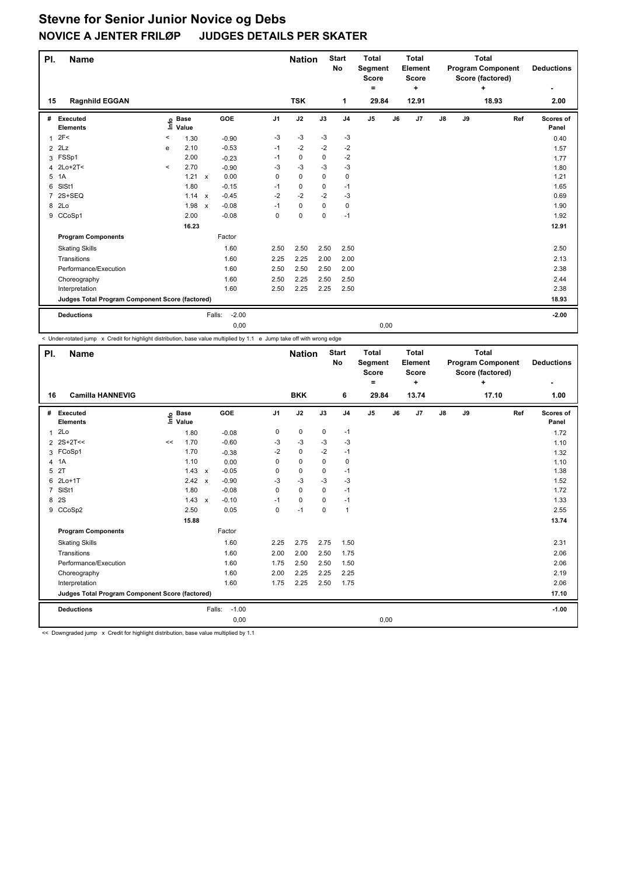| PI.                                             | <b>Name</b>                        |         |                            |                           |                   |      | <b>Nation</b> |             | <b>Start</b><br><b>No</b> | <b>Total</b><br>Segment<br><b>Score</b><br>$=$ | <b>Total</b><br><b>Element</b><br><b>Score</b><br>٠ |       | <b>Program Component</b> |    | <b>Total</b><br>Score (factored)<br>÷ |     | <b>Deductions</b><br>۰ |
|-------------------------------------------------|------------------------------------|---------|----------------------------|---------------------------|-------------------|------|---------------|-------------|---------------------------|------------------------------------------------|-----------------------------------------------------|-------|--------------------------|----|---------------------------------------|-----|------------------------|
| 15                                              | <b>Ragnhild EGGAN</b>              |         |                            |                           |                   |      | <b>TSK</b>    |             | 1                         | 29.84                                          |                                                     | 12.91 |                          |    | 18.93                                 |     | 2.00                   |
| #                                               | <b>Executed</b><br><b>Elements</b> |         | e Base<br>E Value<br>Value |                           | <b>GOE</b>        | J1   | J2            | J3          | J <sub>4</sub>            | J <sub>5</sub>                                 | J6                                                  | J7    | $\mathsf{J}8$            | J9 |                                       | Ref | Scores of<br>Panel     |
| 1                                               | 2F<                                | $\,<\,$ | 1.30                       |                           | $-0.90$           | $-3$ | $-3$          | $-3$        | $-3$                      |                                                |                                                     |       |                          |    |                                       |     | 0.40                   |
| $\overline{2}$                                  | 2Lz                                | e       | 2.10                       |                           | $-0.53$           | $-1$ | $-2$          | $-2$        | $-2$                      |                                                |                                                     |       |                          |    |                                       |     | 1.57                   |
|                                                 | 3 FSSp1                            |         | 2.00                       |                           | $-0.23$           | $-1$ | $\mathbf 0$   | 0           | $-2$                      |                                                |                                                     |       |                          |    |                                       |     | 1.77                   |
| 4                                               | $2Lo+2T<$                          | $\prec$ | 2.70                       |                           | $-0.90$           | -3   | $-3$          | $-3$        | $-3$                      |                                                |                                                     |       |                          |    |                                       |     | 1.80                   |
| 5                                               | 1A                                 |         | 1.21                       | $\mathsf{x}$              | 0.00              | 0    | 0             | 0           | 0                         |                                                |                                                     |       |                          |    |                                       |     | 1.21                   |
| 6                                               | SISt1                              |         | 1.80                       |                           | $-0.15$           | $-1$ | 0             | 0           | $-1$                      |                                                |                                                     |       |                          |    |                                       |     | 1.65                   |
|                                                 | 2S+SEQ                             |         | 1.14                       | $\mathsf{x}$              | $-0.45$           | $-2$ | $-2$          | $-2$        | $-3$                      |                                                |                                                     |       |                          |    |                                       |     | 0.69                   |
| 8                                               | 2Lo                                |         | 1.98                       | $\boldsymbol{\mathsf{x}}$ | $-0.08$           | $-1$ | $\mathbf 0$   | $\Omega$    | 0                         |                                                |                                                     |       |                          |    |                                       |     | 1.90                   |
| 9                                               | CCoSp1                             |         | 2.00                       |                           | $-0.08$           | 0    | 0             | $\mathbf 0$ | $-1$                      |                                                |                                                     |       |                          |    |                                       |     | 1.92                   |
|                                                 |                                    |         | 16.23                      |                           |                   |      |               |             |                           |                                                |                                                     |       |                          |    |                                       |     | 12.91                  |
|                                                 | <b>Program Components</b>          |         |                            |                           | Factor            |      |               |             |                           |                                                |                                                     |       |                          |    |                                       |     |                        |
|                                                 | <b>Skating Skills</b>              |         |                            |                           | 1.60              | 2.50 | 2.50          | 2.50        | 2.50                      |                                                |                                                     |       |                          |    |                                       |     | 2.50                   |
|                                                 | Transitions                        |         |                            |                           | 1.60              | 2.25 | 2.25          | 2.00        | 2.00                      |                                                |                                                     |       |                          |    |                                       |     | 2.13                   |
|                                                 | Performance/Execution              |         |                            |                           | 1.60              | 2.50 | 2.50          | 2.50        | 2.00                      |                                                |                                                     |       |                          |    |                                       |     | 2.38                   |
|                                                 | Choreography                       |         |                            |                           | 1.60              | 2.50 | 2.25          | 2.50        | 2.50                      |                                                |                                                     |       |                          |    |                                       |     | 2.44                   |
|                                                 | Interpretation                     |         |                            |                           | 1.60              | 2.50 | 2.25          | 2.25        | 2.50                      |                                                |                                                     |       |                          |    |                                       |     | 2.38                   |
| Judges Total Program Component Score (factored) |                                    |         |                            |                           |                   |      |               |             |                           |                                                |                                                     |       |                          |    |                                       |     | 18.93                  |
|                                                 | <b>Deductions</b>                  |         |                            |                           | $-2.00$<br>Falls: |      |               |             |                           |                                                |                                                     |       |                          |    |                                       |     | $-2.00$                |
|                                                 |                                    |         |                            |                           | 0,00              |      |               |             |                           | 0,00                                           |                                                     |       |                          |    |                                       |     |                        |

< Under-rotated jump x Credit for highlight distribution, base value multiplied by 1.1 e Jump take off with wrong edge

| PI.            | <b>Name</b>                                     |                            |                           |         |                | <b>Nation</b> |             | <b>Start</b><br>No | <b>Total</b><br>Segment<br><b>Score</b><br>۰ |    | <b>Total</b><br>Element<br><b>Score</b><br>÷ | <b>Total</b><br><b>Program Component</b><br>Score (factored)<br>÷ |    |       |     | <b>Deductions</b>  |
|----------------|-------------------------------------------------|----------------------------|---------------------------|---------|----------------|---------------|-------------|--------------------|----------------------------------------------|----|----------------------------------------------|-------------------------------------------------------------------|----|-------|-----|--------------------|
| 16             | <b>Camilla HANNEVIG</b>                         |                            |                           |         |                | <b>BKK</b>    |             | 6                  | 29.84                                        |    | 13.74                                        |                                                                   |    | 17.10 |     | 1.00               |
| #              | Executed<br><b>Elements</b>                     | <b>Base</b><br>١m<br>Value |                           | GOE     | J <sub>1</sub> | J2            | J3          | J <sub>4</sub>     | J5                                           | J6 | J7                                           | $\mathsf{J}8$                                                     | J9 |       | Ref | Scores of<br>Panel |
| 1              | 2Lo                                             | 1.80                       |                           | $-0.08$ | 0              | $\mathbf 0$   | $\mathbf 0$ | $-1$               |                                              |    |                                              |                                                                   |    |       |     | 1.72               |
| $\overline{2}$ | $2S+2T<<$                                       | 1.70<br><<                 |                           | $-0.60$ | $-3$           | $-3$          | $-3$        | $-3$               |                                              |    |                                              |                                                                   |    |       |     | 1.10               |
|                | 3 FCoSp1                                        | 1.70                       |                           | $-0.38$ | $-2$           | $\mathbf 0$   | $-2$        | $-1$               |                                              |    |                                              |                                                                   |    |       |     | 1.32               |
|                | 4 1A                                            | 1.10                       |                           | 0.00    | 0              | $\mathbf 0$   | $\mathbf 0$ | $\mathbf 0$        |                                              |    |                                              |                                                                   |    |       |     | 1.10               |
| 5              | 2T                                              | 1.43                       | $\mathsf{x}$              | $-0.05$ | 0              | $\mathbf 0$   | $\mathbf 0$ | $-1$               |                                              |    |                                              |                                                                   |    |       |     | 1.38               |
| 6              | $2Lo+1T$                                        | 2.42                       | $\boldsymbol{\mathsf{x}}$ | $-0.90$ | -3             | $-3$          | $-3$        | $-3$               |                                              |    |                                              |                                                                   |    |       |     | 1.52               |
| $\overline{7}$ | SISt1                                           | 1.80                       |                           | $-0.08$ | 0              | $\Omega$      | $\Omega$    | $-1$               |                                              |    |                                              |                                                                   |    |       |     | 1.72               |
| 8              | <b>2S</b>                                       | 1.43 x                     |                           | $-0.10$ | $-1$           | 0             | 0           | $-1$               |                                              |    |                                              |                                                                   |    |       |     | 1.33               |
|                | 9 CCoSp2                                        | 2.50                       |                           | 0.05    | 0              | $-1$          | 0           | $\overline{1}$     |                                              |    |                                              |                                                                   |    |       |     | 2.55               |
|                |                                                 | 15.88                      |                           |         |                |               |             |                    |                                              |    |                                              |                                                                   |    |       |     | 13.74              |
|                | <b>Program Components</b>                       |                            |                           | Factor  |                |               |             |                    |                                              |    |                                              |                                                                   |    |       |     |                    |
|                | <b>Skating Skills</b>                           |                            |                           | 1.60    | 2.25           | 2.75          | 2.75        | 1.50               |                                              |    |                                              |                                                                   |    |       |     | 2.31               |
|                | Transitions                                     |                            |                           | 1.60    | 2.00           | 2.00          | 2.50        | 1.75               |                                              |    |                                              |                                                                   |    |       |     | 2.06               |
|                | Performance/Execution                           |                            |                           | 1.60    | 1.75           | 2.50          | 2.50        | 1.50               |                                              |    |                                              |                                                                   |    |       |     | 2.06               |
|                | Choreography                                    |                            |                           | 1.60    | 2.00           | 2.25          | 2.25        | 2.25               |                                              |    |                                              |                                                                   |    |       |     | 2.19               |
|                | Interpretation                                  |                            |                           | 1.60    | 1.75           | 2.25          | 2.50        | 1.75               |                                              |    |                                              |                                                                   |    |       |     | 2.06               |
|                | Judges Total Program Component Score (factored) |                            |                           |         |                |               |             |                    |                                              |    |                                              |                                                                   |    |       |     | 17.10              |
|                | <b>Deductions</b>                               |                            | Falls:                    | $-1.00$ |                |               |             |                    |                                              |    |                                              |                                                                   |    |       |     | $-1.00$            |
|                |                                                 |                            |                           | 0,00    |                |               |             |                    | 0,00                                         |    |                                              |                                                                   |    |       |     |                    |

<< Downgraded jump x Credit for highlight distribution, base value multiplied by 1.1